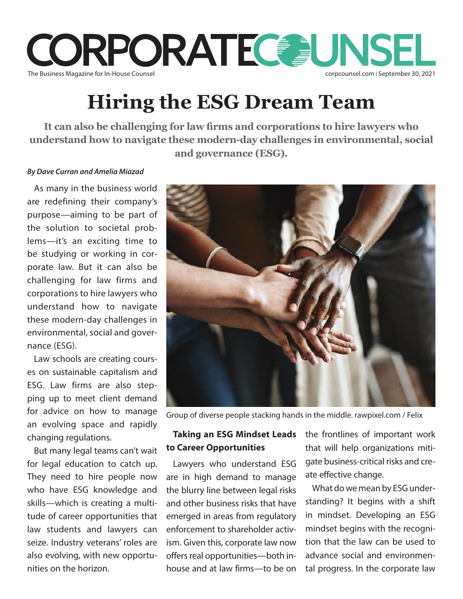

## **Hiring the ESG Dream Team**

**It can also be challenging for law firms and corporations to hire lawyers who understand how to navigate these modern-day challenges in environmental, social and governance (ESG).**

#### *By Dave Curran and Amelia Miazad*

As many in the business world are redefining their company's purpose—aiming to be part of the solution to societal problems—it's an exciting time to be studying or working in corporate law. But it can also be challenging for law firms and corporations to hire lawyers who understand how to navigate these modern-day challenges in environmental, social and governance (ESG).

Law schools are creating courses on sustainable capitalism and ESG. Law firms are also stepping up to meet client demand for advice on how to manage an evolving space and rapidly changing regulations.

But many legal teams can't wait for legal education to catch up. They need to hire people now who have ESG knowledge and skills—which is creating a multitude of career opportunities that law students and lawyers can seize. Industry veterans' roles are also evolving, with new opportunities on the horizon.



Group of diverse people stacking hands in the middle. rawpixel.com / Felix

# **to Career Opportunities**

Lawyers who understand ESG are in high demand to manage the blurry line between legal risks and other business risks that have emerged in areas from regulatory enforcement to shareholder activism. Given this, corporate law now offers real opportunities—both inhouse and at law firms—to be on

**Taking an ESG Mindset Leads**  the frontlines of important work that will help organizations mitigate business-critical risks and create effective change.

> What do we mean by ESG understanding? It begins with a shift in mindset. Developing an ESG mindset begins with the recognition that the law can be used to advance social and environmental progress. In the corporate law